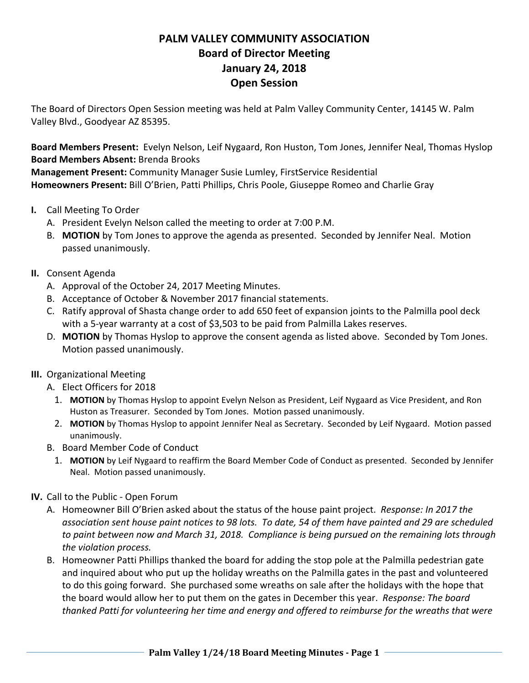## **PALM VALLEY COMMUNITY ASSOCIATION Board of Director Meeting January 24, 2018 Open Session**

The Board of Directors Open Session meeting was held at Palm Valley Community Center, 14145 W. Palm Valley Blvd., Goodyear AZ 85395.

**Board Members Present:** Evelyn Nelson, Leif Nygaard, Ron Huston, Tom Jones, Jennifer Neal, Thomas Hyslop **Board Members Absent:** Brenda Brooks

**Management Present:** Community Manager Susie Lumley, FirstService Residential **Homeowners Present:** Bill O'Brien, Patti Phillips, Chris Poole, Giuseppe Romeo and Charlie Gray

- **I.** Call Meeting To Order
	- A. President Evelyn Nelson called the meeting to order at 7:00 P.M.
	- B. **MOTION** by Tom Jones to approve the agenda as presented. Seconded by Jennifer Neal. Motion passed unanimously.
- **II.** Consent Agenda
	- A. Approval of the October 24, 2017 Meeting Minutes.
	- B. Acceptance of October & November 2017 financial statements.
	- C. Ratify approval of Shasta change order to add 650 feet of expansion joints to the Palmilla pool deck with a 5-year warranty at a cost of \$3,503 to be paid from Palmilla Lakes reserves.
	- D. **MOTION** by Thomas Hyslop to approve the consent agenda as listed above. Seconded by Tom Jones. Motion passed unanimously.
- **III.** Organizational Meeting
	- A. Elect Officers for 2018
		- 1. **MOTION** by Thomas Hyslop to appoint Evelyn Nelson as President, Leif Nygaard as Vice President, and Ron Huston as Treasurer. Seconded by Tom Jones. Motion passed unanimously.
		- 2. **MOTION** by Thomas Hyslop to appoint Jennifer Neal as Secretary. Seconded by Leif Nygaard. Motion passed unanimously.
	- B. Board Member Code of Conduct
		- 1. **MOTION** by Leif Nygaard to reaffirm the Board Member Code of Conduct as presented. Seconded by Jennifer Neal. Motion passed unanimously.
- **IV.** Call to the Public ‐ Open Forum
	- A. Homeowner Bill O'Brien asked about the status of the house paint project. *Response: In 2017 the* association sent house paint notices to 98 lots. To date, 54 of them have painted and 29 are scheduled to paint between now and March 31, 2018. Compliance is being pursued on the remaining lots through *the violation process.*
	- B. Homeowner Patti Phillips thanked the board for adding the stop pole at the Palmilla pedestrian gate and inquired about who put up the holiday wreaths on the Palmilla gates in the past and volunteered to do this going forward. She purchased some wreaths on sale after the holidays with the hope that the board would allow her to put them on the gates in December this year. *Response: The board thanked Patti for volunteering her time and energy and offered to reimburse for the wreaths that were*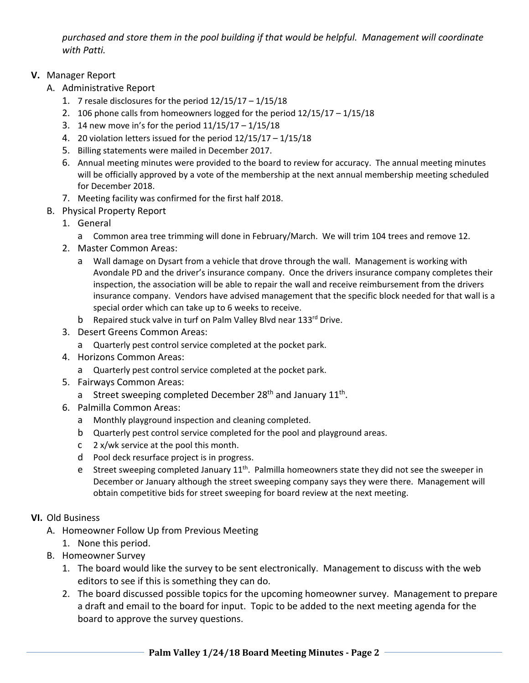*purchased and store them in the pool building if that would be helpful. Management will coordinate with Patti.*

## **V.** Manager Report

- A. Administrative Report
	- 1. 7 resale disclosures for the period  $12/15/17 1/15/18$
	- 2. 106 phone calls from homeowners logged for the period 12/15/17 1/15/18
	- 3. 14 new move in's for the period 11/15/17 1/15/18
	- 4. 20 violation letters issued for the period 12/15/17 1/15/18
	- 5. Billing statements were mailed in December 2017.
	- 6. Annual meeting minutes were provided to the board to review for accuracy. The annual meeting minutes will be officially approved by a vote of the membership at the next annual membership meeting scheduled for December 2018.
	- 7. Meeting facility was confirmed for the first half 2018.
- B. Physical Property Report
	- 1. General
		- a Common area tree trimming will done in February/March. We will trim 104 trees and remove 12.
	- 2. Master Common Areas:
		- a Wall damage on Dysart from a vehicle that drove through the wall. Management is working with Avondale PD and the driver's insurance company. Once the drivers insurance company completes their inspection, the association will be able to repair the wall and receive reimbursement from the drivers insurance company. Vendors have advised management that the specific block needed for that wall is a special order which can take up to 6 weeks to receive.
		- b Repaired stuck valve in turf on Palm Valley Blvd near 133rd Drive.
	- 3. Desert Greens Common Areas:
		- a Quarterly pest control service completed at the pocket park.
	- 4. Horizons Common Areas:
		- a Quarterly pest control service completed at the pocket park.
	- 5. Fairways Common Areas:
		- a Street sweeping completed December  $28<sup>th</sup>$  and January  $11<sup>th</sup>$ .
	- 6. Palmilla Common Areas:
		- a Monthly playground inspection and cleaning completed.
		- b Quarterly pest control service completed for the pool and playground areas.
		- c 2 x/wk service at the pool this month.
		- d Pool deck resurface project is in progress.
		- e Street sweeping completed January  $11<sup>th</sup>$ . Palmilla homeowners state they did not see the sweeper in December or January although the street sweeping company says they were there. Management will obtain competitive bids for street sweeping for board review at the next meeting.

## **VI.** Old Business

- A. Homeowner Follow Up from Previous Meeting
	- 1. None this period.
- B. Homeowner Survey
	- 1. The board would like the survey to be sent electronically. Management to discuss with the web editors to see if this is something they can do.
	- 2. The board discussed possible topics for the upcoming homeowner survey. Management to prepare a draft and email to the board for input. Topic to be added to the next meeting agenda for the board to approve the survey questions.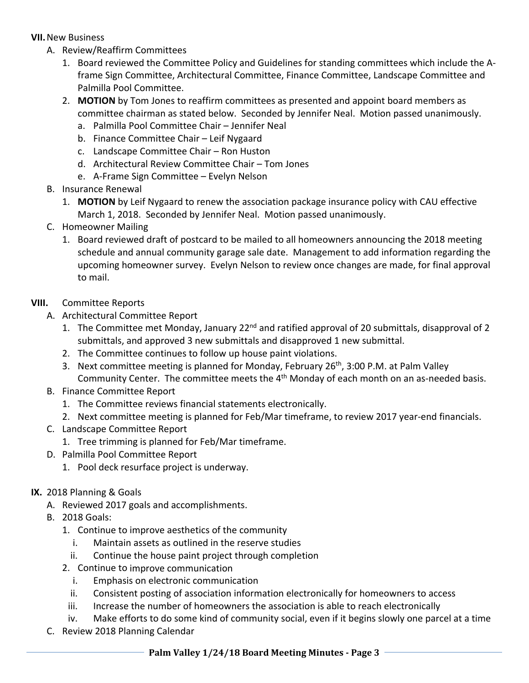## **VII.**New Business

- A. Review/Reaffirm Committees
	- 1. Board reviewed the Committee Policy and Guidelines for standing committees which include the A‐ frame Sign Committee, Architectural Committee, Finance Committee, Landscape Committee and Palmilla Pool Committee.
	- 2. **MOTION** by Tom Jones to reaffirm committees as presented and appoint board members as committee chairman as stated below. Seconded by Jennifer Neal. Motion passed unanimously.
		- a. Palmilla Pool Committee Chair Jennifer Neal
		- b. Finance Committee Chair Leif Nygaard
		- c. Landscape Committee Chair Ron Huston
		- d. Architectural Review Committee Chair Tom Jones
		- e. A‐Frame Sign Committee Evelyn Nelson
- B. Insurance Renewal
	- 1. **MOTION** by Leif Nygaard to renew the association package insurance policy with CAU effective March 1, 2018. Seconded by Jennifer Neal. Motion passed unanimously.
- C. Homeowner Mailing
	- 1. Board reviewed draft of postcard to be mailed to all homeowners announcing the 2018 meeting schedule and annual community garage sale date. Management to add information regarding the upcoming homeowner survey. Evelyn Nelson to review once changes are made, for final approval to mail.
- **VIII.** Committee Reports
	- A. Architectural Committee Report
		- 1. The Committee met Monday, January 22<sup>nd</sup> and ratified approval of 20 submittals, disapproval of 2 submittals, and approved 3 new submittals and disapproved 1 new submittal.
		- 2. The Committee continues to follow up house paint violations.
		- 3. Next committee meeting is planned for Monday, February 26<sup>th</sup>, 3:00 P.M. at Palm Valley Community Center. The committee meets the 4<sup>th</sup> Monday of each month on an as-needed basis.
	- B. Finance Committee Report
		- 1. The Committee reviews financial statements electronically.
		- 2. Next committee meeting is planned for Feb/Mar timeframe, to review 2017 year-end financials.
	- C. Landscape Committee Report
		- 1. Tree trimming is planned for Feb/Mar timeframe.
	- D. Palmilla Pool Committee Report
		- 1. Pool deck resurface project is underway.
- **IX.** 2018 Planning & Goals
	- A. Reviewed 2017 goals and accomplishments.
	- B. 2018 Goals:
		- 1. Continue to improve aesthetics of the community
			- i. Maintain assets as outlined in the reserve studies
			- ii. Continue the house paint project through completion
		- 2. Continue to improve communication
			- i. Emphasis on electronic communication
			- ii. Consistent posting of association information electronically for homeowners to access
		- iii. Increase the number of homeowners the association is able to reach electronically
		- iv. Make efforts to do some kind of community social, even if it begins slowly one parcel at a time
	- C. Review 2018 Planning Calendar